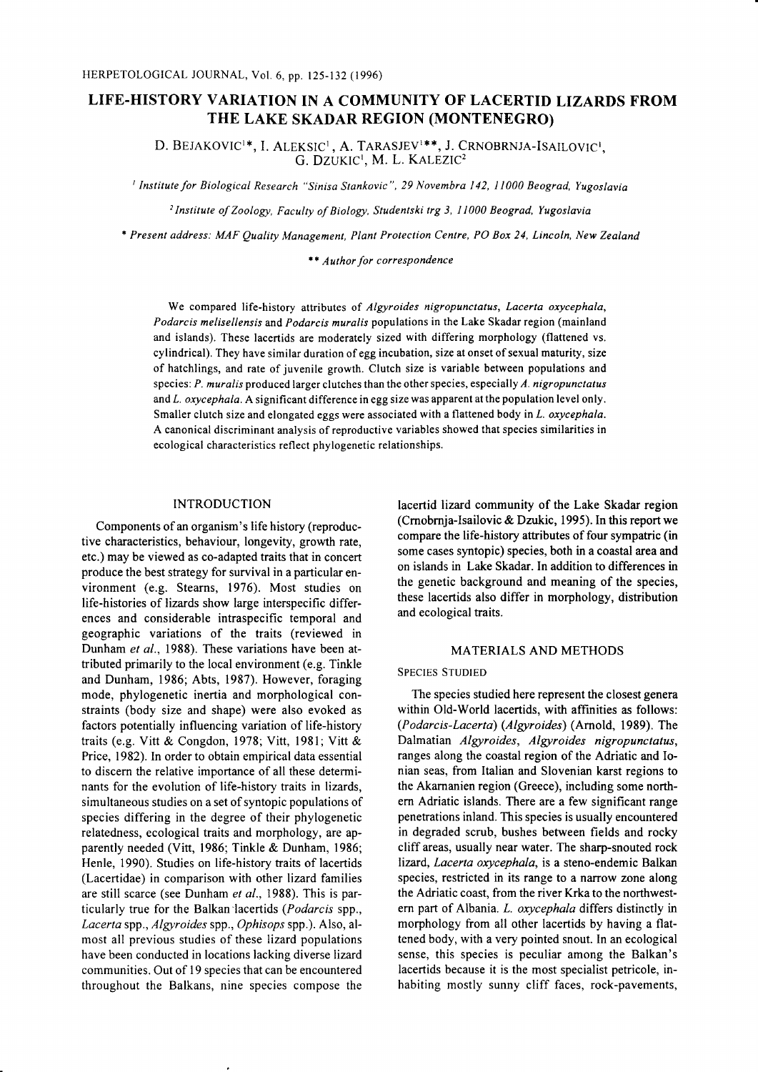# LIFE-HISTORY VARIATION IN A COMMUNITY OF LACERTID LIZARDS FROM THE LAKE SKADAR REGION (MONTENEGRO)

D. BEJAKOVIC<sup>1</sup>\*, I. ALEKSIC<sup>1</sup>, A. TARASJEV<sup>1\*\*</sup>, J. CRNOBRNJA-ISAILOVIC<sup>1</sup>. G. DZUKIC', M. L. KALEZIC2

<sup>1</sup> Institute for Biological Research "Sinisa Stankovic", 29 Novembra 142, 11000 Beograd, Yugoslavia

<sup>2</sup> Institute of Zoology, Faculty of Biology, Studentski trg 3, 11000 Beograd, Yugoslavia

\* Present address: MAF Quality Management, Plant Protection Centre, PO Box 24, Lincoln, New Zealand

 $**$  Author for correspondence

We compared life-history attributes of Algyroides nigropunctatus, Lacerta oxycephala, Podarcis melisellensis and Podarcis muralis populations in the Lake Skadar region (mainland and islands). These lacertids are moderately sized with differing morphology (flattened vs. cylindrical). They have similar duration of egg incubation, size at onset of sexual maturity, size of hatchlings, and rate of juvenile growth. Clutch size is variable between populations and species:  $P$ . muralis produced larger clutches than the other species, especially  $A$ . nigropunctatus and L. oxycephala. A significant difference in egg size was apparent at the population level only. Smaller clutch size and elongated eggs were associated with a flattened body in  $L$ . oxycephala. A canonical discriminant analysis of reproductive variables showed that species similarities in ecological characteristics reflect phylogenetic relationships.

### INTRODUCTION

Components of an organism's life history (reproductive characteristics, behaviour, longevity, growth rate, etc.) may be viewed as co-adapted traits that in concert produce the best strategy for survival in a particular environment (e.g. Stearns, 1976). Most studies on life-histories of lizards show large interspecific differences and considerable intraspecific temporal and geographic variations of the traits (reviewed in Dunham et al., 1988). These variations have been attributed primarily to the local environment (e.g. Tinkle and Dunham, 1986; Abts, 1987). However, foraging mode, phylogenetic inertia and morphological constraints (body size and shape) were also evoked as factors potentially influencing variation of life-history traits (e.g. Vitt & Congdon, 1978; Vitt, 1981; Vitt & Price, 1982). In order to obtain empirical data essential to discern the relative importance of all these determinants for the evolution of life-history traits in lizards, simultaneous studies on a set of syntopic populations of species differing in the degree of their phylogenetic relatedness, ecological traits and morphology, are apparently needed (Vitt, 1986; Tinkle & Dunham, 1986; Henle, 1990). Studies on life-history traits of lacertids (Lacertidae) in comparison with other lizard families are still scarce (see Dunham et al., 1988). This is particularly true for the Balkan'lacertids (Podarcis spp., Lacerta spp., Algyroides spp., Ophisops spp.). Also, almost all previous studies of these lizard populations have been conducted in locations lacking diverse lizard communities. Out of 19 species that can be encountered throughout the Balkans, nine species compose the lacertid lizard community of the Lake Skadar region (Crnobrnja-Isailovic & Dzukic, 1995). In this report we compare the life-history attributes of four sympatric (in some cases syntopic) species, both in a coastal area and on islands in Lake Skadar. In addition to differences in the genetic background and meaning of the species, these lacertids also differ in morphology, distribution and ecological traits.

### MATERIALS AND METHODS

#### SPECIES STUDIED

The species studied here represent the closest genera within Old-World lacertids, with affinities as follows: (Podarcis-Lacerta) (Algyroides) (Arnold, 1989). The Dalmatian Algyroides, Algyroides nigropunctatus, ranges along the coastal region of the Adriatic and Ionian seas, from Italian and Slovenian karst regions to the Akarnanien region (Greece), including some northern Adriatic islands. There are a few significant range penetrations inland. This species is usually encountered in degraded scrub, bushes between fields and rocky cliffareas, usually near water. The sharp-snouted rock lizard, Lacerta oxycephala, is a steno-endemic Balkan species, restricted in its range to a narrow zone along the Adriatic coast, from the river Krka to the northwestern part of Albania. L. oxycephala differs distinctly in morphology from all other lacertids by having a flattened body, with a very pointed snout. In an ecological sense, this species is peculiar among the Balkan's lacertids because it is the most specialist petricole, inhabiting mostly sunny cliff faces, rock-pavements,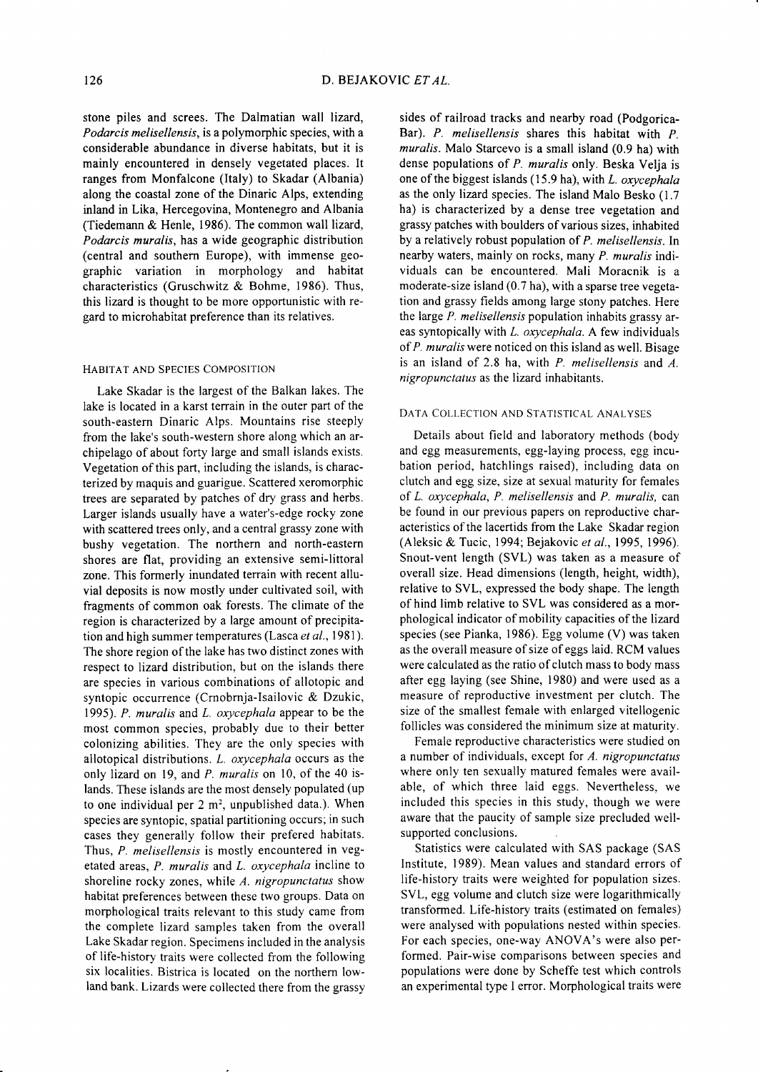stone piles and screes. The Dalmatian wall lizard, Podarcis melisellensis, is a polymorphic species, with a considerable abundance in diverse habitats, but it is mainly encountered in densely vegetated places. It ranges from Monfalcone (Italy) to Skadar (Albania) along the coastal zone of the Dinaric Alps, extending inland in Lika, Hercegovina, Montenegro and Albania (Tiedemann & Henle, 1986). The common wall lizard, Podarcis muralis, has a wide geographic distribution (central and southern Europe), with immense geographic variation in morphology and habitat characteristics (Gruschwitz & Bohme, 1986). Thus, this lizard is thought to be more opportunistic with regard to microhabitat preference than its relatives.

## HABITAT AND SPECIES COMPOSITION

Lake Skadar is the largest of the Balkan lakes. The lake is located in a karst terrain in the outer part of the south-eastern Dinaric Alps. Mountains rise steeply from the lake's south-western shore along which an archipelago of about forty large and small islands exists. Vegetation of this part, including the islands, is characterized by maquis and guarigue. Scattered xeromorphic trees are separated by patches of dry grass and herbs. Larger islands usually have a water's-edge rocky zone with scattered trees only, and a central grassy zone with bushy vegetation. The northern and north-eastern shores are flat, providing an extensive semi-littoral zone. This formerly inundated terrain with recent alluvial deposits is now mostly under cultivated soil, with fragments of common oak forests. The climate of the region is characterized by a large amount of precipitation and high summer temperatures (Lasca et al., 1981). The shore region of the lake has two distinct zones with respect to lizard distribution, but on the islands there are species in various combinations of allotopic and syntopic occurrence (Crnobrnja-Isailovic & Dzukic, 1995). P. muralis and L. oxycephala appear to be the most common species, probably due to their better colonizing abilities. They are the only species with allotopical distributions. L. oxycephala occurs as the only lizard on 19, and P. muralis on 10, of the 40 islands. These islands are the most densely populated (up to one individual per  $2 \text{ m}^2$ , unpublished data.). When species are syntopic, spatial partitioning occurs; in such cases they generally follow their prefered habitats. Thus, P. melisellensis is mostly encountered in vegetated areas, P. muralis and L. oxycephala incline to shoreline rocky zones, while  $A$ , nigropunctatus show habitat preferences between these two groups. Data on morphological traits relevant to this study came from the complete lizard samples taken from the overall Lake Skadar region. Specimens included in the analysis of life-history traits were collected from the following six localities. Bistrica is located on the northern lowland bank. Lizards were collected there from the grassy

sides of railroad tracks and nearby road (Podgorica-Bar). P. melisellensis shares this habitat with  $P$ . muralis. Malo Starcevo is a small island (0.9 ha) with dense populations of P. muralis only. Beska Velja is one of the biggest islands  $(15.9 \text{ ha})$ , with L. oxycephala as the only lizard species. The island Malo Besko (1.7 ha) is characterized by a dense tree vegetation and grassy patches with boulders of various sizes, inhabited by a relatively robust population of  $P$ . melisellensis. In nearby waters, mainly on rocks, many P. muralis individuals can be encountered. Mali Moracnik is a moderate-size island (0.7 ha), with a sparse tree vegetation and grassy fields among large stony patches. Here the large  $P$ , melisellensis population inhabits grassy areas syntopically with L. oxycephala. A few individuals of P. muralis were noticed on this island as well. Bisage is an island of 2.8 ha, with P. melisellensis and A. nigropunctatus as the lizard inhabitants.

## DATA COLLECTION AND STATISTICAL ANALYSES

Details about field and laboratory methods (body and egg measurements, egg-laying process, egg incubation period, hatchlings raised), including data on clutch and egg size, size at sexual maturity for females of  $L.$  oxycephala,  $P.$  melisellensis and  $P.$  muralis, can be found in our previous papers on reproductive characteristics of the lacertids from the Lake Skadar region (Aleksic & Tucic, 1994; Bejakovic et al., 1995, 1996). Snout-vent length (SVL) was taken as a measure of overall size. Head dimensions (length, height, width), relative to SVL, expressed the body shape. The length of hind limb relative to SVL was considered as a morphological indicator of mobility capacities of the lizard species (see Pianka, 1986). Egg volume (V) was taken as the overall measure of size of eggs laid. RCM values were calculated as the ratio of clutch mass to body mass after egg laying (see Shine, 1980) and were used as a measure of reproductive investment per clutch. The size of the smallest female with enlarged vitellogenic follicles was considered the minimum size at maturity.

Female reproductive characteristics were studied on a number of individuals, except for A. nigropunctatus where only ten sexually matured females were available, of which three laid eggs. Nevertheless, we included this species in this study, though we were aware that the paucity of sample size precluded wellsupported conclusions.

Statistics were calculated with SAS package (SAS Institute, 1989). Mean values and standard errors of life-history traits were weighted for population sizes. SVL, egg volume and clutch size were logarithmically transformed. Life-history traits (estimated on females) were analysed with populations nested within species. For each species, one-way ANOVA's were also performed. Pair-wise comparisons between species and populations were done by Scheffe test which controls an experimental type I error. Morphological traits were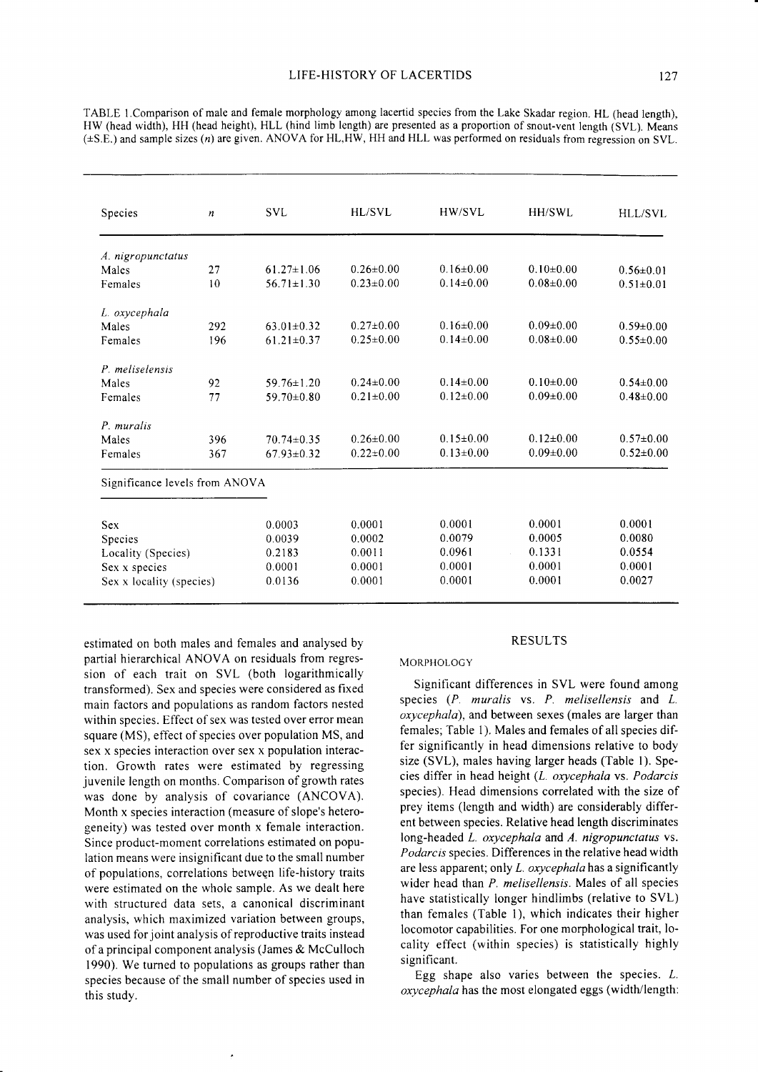| <b>Species</b>                 | $\boldsymbol{n}$ | <b>SVL</b>       | HL/SVL          | HW/SVL          | HH/SWL                  | HLL/SVL         |
|--------------------------------|------------------|------------------|-----------------|-----------------|-------------------------|-----------------|
| A. nigropunctatus              |                  |                  |                 |                 |                         |                 |
| Males                          | 27               | $61.27 \pm 1.06$ | $0.26 \pm 0.00$ | $0.16 \pm 0.00$ | $0.10+0.00$             | $0.56 \pm 0.01$ |
| Females                        | 10               | $56.71 \pm 1.30$ | $0.23 \pm 0.00$ | $0.14 \pm 0.00$ | $0.08 + 0.00$           | $0.51 \pm 0.01$ |
| L. oxycephala                  |                  |                  |                 |                 |                         |                 |
| Males                          | 292              | $63.01 \pm 0.32$ | $0.27 \pm 0.00$ | $0.16 \pm 0.00$ | $0.09 \pm 0.00$         | $0.59 \pm 0.00$ |
| Females                        | 196              | $61.21 \pm 0.37$ | $0.25 \pm 0.00$ | $0.14 \pm 0.00$ | $0.08 \pm 0.00$         | $0.55 \pm 0.00$ |
| P. meliselensis                |                  |                  |                 |                 |                         |                 |
| Males                          | 92               | $59.76 \pm 1.20$ | $0.24 \pm 0.00$ | $0.14 \pm 0.00$ | $0.10 \pm 0.00$         | $0.54 \pm 0.00$ |
| Females                        | 77               | $59.70 \pm 0.80$ | $0.21 \pm 0.00$ | $0.12 \pm 0.00$ | $0.09 \pm 0.00$         | $0.48 \pm 0.00$ |
| P. muralis                     |                  |                  |                 |                 |                         |                 |
| Males                          | 396              | $70.74 \pm 0.35$ | $0.26 \pm 0.00$ | $0.15 \pm 0.00$ | $0.12 \pm 0.00$         | $0.57 \pm 0.00$ |
| Females                        | 367              | $67.93 \pm 0.32$ | $0.22 \pm 0.00$ | $0.13 \pm 0.00$ | $0.09 \pm 0.00$         | $0.52 \pm 0.00$ |
| Significance levels from ANOVA |                  |                  |                 |                 |                         |                 |
| <b>Sex</b>                     |                  | 0.0003           | 0.0001          | 0.0001          | 0.0001                  | 0.0001          |
| Species                        |                  | 0.0039           | 0.0002          | 0.0079          | 0.0005                  | 0.0080          |
| Locality (Species)             |                  | 0.2183           | 0.0011          | 0.0961          | 0.1331<br>$\mathcal{L}$ | 0.0554          |
| Sex x species                  |                  | 0.0001           | 0.0001          | 0.0001          | 0.0001                  | 0.0001          |
| Sex x locality (species)       |                  | 0.0136           | 0.0001          | 0.0001          | 0.0001                  | 0.0027          |

TABLE l.Comparison of male and female morphology among lacertid species from the Lake Skadar region. HL (head length), HW (head width), HH (head height), HLL (hind limb length) are presented as a proportion of snout-vent length (SVL), Means (+S.E.) and sample sizes (n) are given. ANOVA for HL,HW, HH and HLL was performed on residuals from regression on SVL.

estimated on both males and females and analysed by partial hierarchical ANOVA on residuals from regression of each trait on SVL (both logarithmically transformed). Sex and species were considered as fixed main factors and populations as random factors nested within species. Effect of sex was tested over error mean square (MS), effect of species over population MS, and sex x species interaction over sex x population interaction. Growth rates were estimated by regressing juvenile length on months. Comparison of growth rates was done by analysis of covariance (ANCOVA). Month x species interaction (measure of slope's heterogeneity) was tested over month x female interaction. Since product-moment correlations estimated on population means were insignificant due to the small number of populations, correlations between life-history traits were estimated on the whole sample. As we dealt here with structured data sets, a canonical discriminant analysis, which maximized variation between groups, was used for joint analysis of reproductive traits instead of a principal component analysis (James & McCulloch 1990). We turned to populations as groups rather than species because of the small number of species used in this study.

### RESULTS

## MORPHOLOGY

Significant differences in SVL were found among species (P. muralis vs. P. melisellensis and L. oxycephalo), and between sexes (males are larger than females; Table 1). Males and females of all species differ significantly in head dimensions relative to body size (SVL), males having larger heads (Table l). Species differ in head height  $(L.$  oxycephala vs. Podarcis species). Head dimensions correlated with the size of prey items (length and width) are considerably different between species. Relative head length discriminates long-headed L. oxycephala and A. nigropunctatus vs. Podarcis species. Differences in the relative head width are less apparent; only  $L$ . oxycephala has a significantly wider head than P. melisellensis. Males of all species have statistically longer hindlimbs (relative to SVL) than females (Table l), which indicates their higher locomotor capabilities. For one morphological trait, locality effect (within species) is statistically highly significant.

Egg shape also varies between the species.  $L$ . oxycephala has the most elongated eggs (width/length: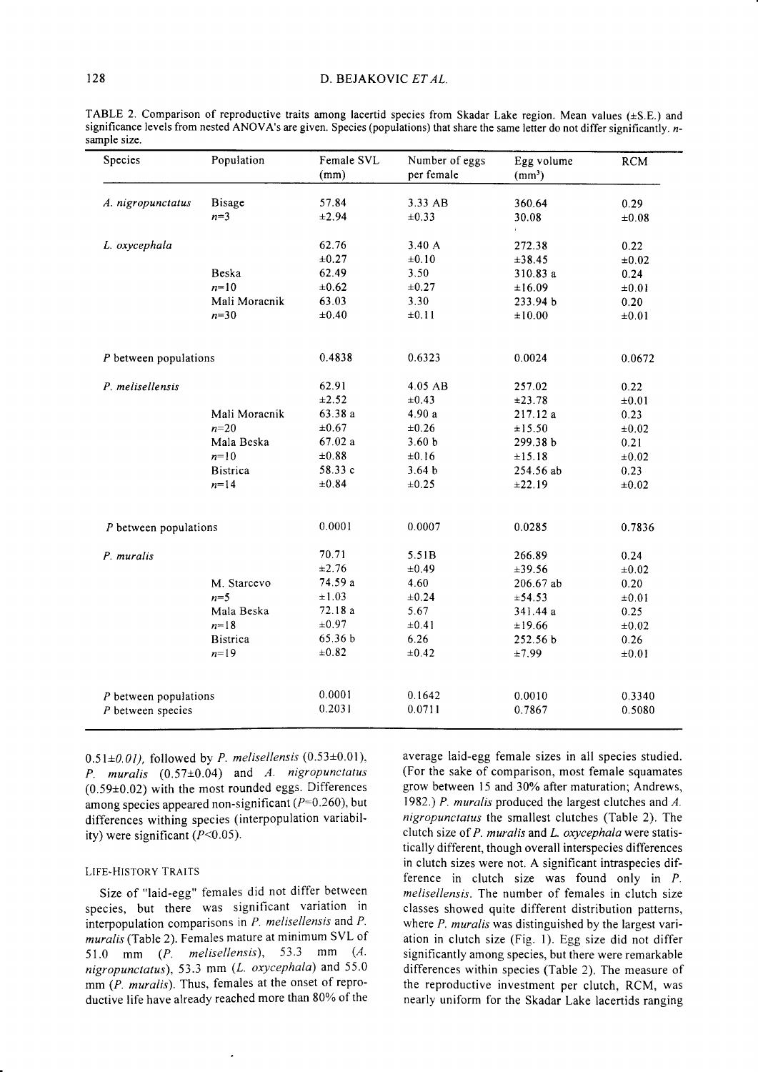| Species                 | Population      | Female SVL<br>(mm) | Number of eggs<br>per female | Egg volume<br>(mm <sup>3</sup> ) | <b>RCM</b> |
|-------------------------|-----------------|--------------------|------------------------------|----------------------------------|------------|
| A. nigropunctatus       | <b>Bisage</b>   | 57.84              | 3.33 AB                      | 360.64                           | 0.29       |
|                         | $n=3$           | ±2.94              | ±0.33                        | 30.08                            | ±0.08      |
| L. oxycephala           |                 | 62.76              | 3.40 A                       | 272.38                           | 0.22       |
|                         |                 | $\pm 0.27$         | $\pm 0.10$                   | ±38.45                           | $\pm 0.02$ |
|                         | Beska           | 62.49              | 3.50                         | 310.83 a                         | 0.24       |
|                         | $n=10$          | $\pm 0.62$         | $\pm 0.27$                   | ±16.09                           | $\pm 0.01$ |
|                         | Mali Moracnik   | 63.03              | 3.30                         | 233.94 b                         | 0.20       |
|                         | $n=30$          | $\pm 0.40$         | ±0.11                        | ±10.00                           | $\pm 0.01$ |
| $P$ between populations |                 | 0.4838             | 0.6323                       | 0.0024                           | 0.0672     |
| P. melisellensis        |                 | 62.91              | 4.05 AB                      | 257.02                           | 0.22       |
|                         |                 | ±2.52              | $\pm 0.43$                   | ±23.78                           | $\pm 0.01$ |
|                         | Mali Moracnik   | 63.38 a            | 4.90a                        | 217.12 a                         | 0.23       |
|                         | $n=20$          | $\pm 0.67$         | $\pm 0.26$                   | ±15.50                           | $\pm 0.02$ |
|                         | Mala Beska      | 67.02a             | 3.60 <sub>b</sub>            | 299.38 b                         | 0.21       |
|                         | $n=10$          | $\pm 0.88$         | ±0.16                        | ±15.18                           | $\pm 0.02$ |
|                         | <b>Bistrica</b> | 58.33 c            | 3.64 <sub>b</sub>            | 254.56 ab                        | 0.23       |
|                         | $n = 14$        | $\pm 0.84$         | $\pm 0.25$                   | ±22.19                           | $\pm 0.02$ |
| $P$ between populations |                 | 0.0001             | 0.0007                       | 0.0285                           | 0.7836     |
| P. muralis              |                 | 70.71              | 5.51B                        | 266.89                           | 0.24       |
|                         |                 | $\pm 2.76$         | $\pm 0.49$                   | ±39.56                           | $\pm 0.02$ |
|                         | M. Starcevo     | 74.59 a            | 4.60                         | 206.67 ab                        | 0.20       |
|                         | $n=5$           | ±1.03              | $\pm 0.24$                   | ±54.53                           | $\pm 0.01$ |
|                         | Mala Beska      | 72.18 a            | 5.67                         | 341.44 a                         | 0.25       |
|                         | $n = 18$        | $\pm 0.97$         | $\pm 0.41$                   | ±19.66                           | $\pm 0.02$ |
|                         | <b>Bistrica</b> | 65.36 b            | 6.26                         | 252.56 b                         | 0.26       |
|                         | $n=19$          | ±0.82              | $\pm 0.42$                   | ±7.99                            | $\pm 0.01$ |
| $P$ between populations |                 |                    |                              |                                  |            |
|                         |                 | 0.0001             | 0.1642                       | 0.0010                           | 0.3340     |

TABLE 2. Comparison of reproductive traits among lacertid species from Skadar Lake region. Mean values  $(\pm S.E.)$  and significance levels from nested ANOVA's are given. Species (populations) that share the same letter do not differ significantly. nsample size.

 $0.51\pm0.01$ ), followed by P. melisellensis (0.53 $\pm$ 0.01), P. muralis  $(0.57\pm0.04)$  and A. nigropunctatus  $(0.59\pm0.02)$  with the most rounded eggs. Differences among species appeared non-significant ( $P=0.260$ ), but differences withing species (interpopulation variability) were significant (P<0.05).

### LIFE.HISTORY TRAITS

Size of "laid-egg" females did not differ between species, but there was significant variation in interpopulation comparisons in  $P$ . melisellensis and  $P$ . muralis (Table 2). Females mature at minimum SVL of 51.0 mm  $(P.$  melisellensis), 53.3 mm  $(A.$ nigropunctatus), 53.3 mm ( $L.$  oxycephala) and 55.0 mm (P. muralis). Thus, females at the onset of reproductive life have already reached more than 80% of the

average laid-egg female sizes in all species studied. (For the sake of comparison, most female squamates grow between 15 and 30% after maturation; Andrews, 1982.) P. muralis produced the largest clutches and  $A$ . nigropunctatas the smallest clutches (Table 2). The clutch size of  $P$ . muralis and  $L$ . oxycephala were statistically different, though overall interspecies differences in clutch sizes were not. A significant intraspecies difference in clutch size was found only in P. melisellensis. The number of females in clutch size classes showed quite different distribution patterns, where  $P$ . muralis was distinguished by the largest variation in clutch size (Fig. l). Egg size did not differ significantly among species, but there were remarkable differences within species (Table 2). The measure of the reproductive investment per clutch, RCM, was nearly uniform for the Skadar Lake lacertids ranging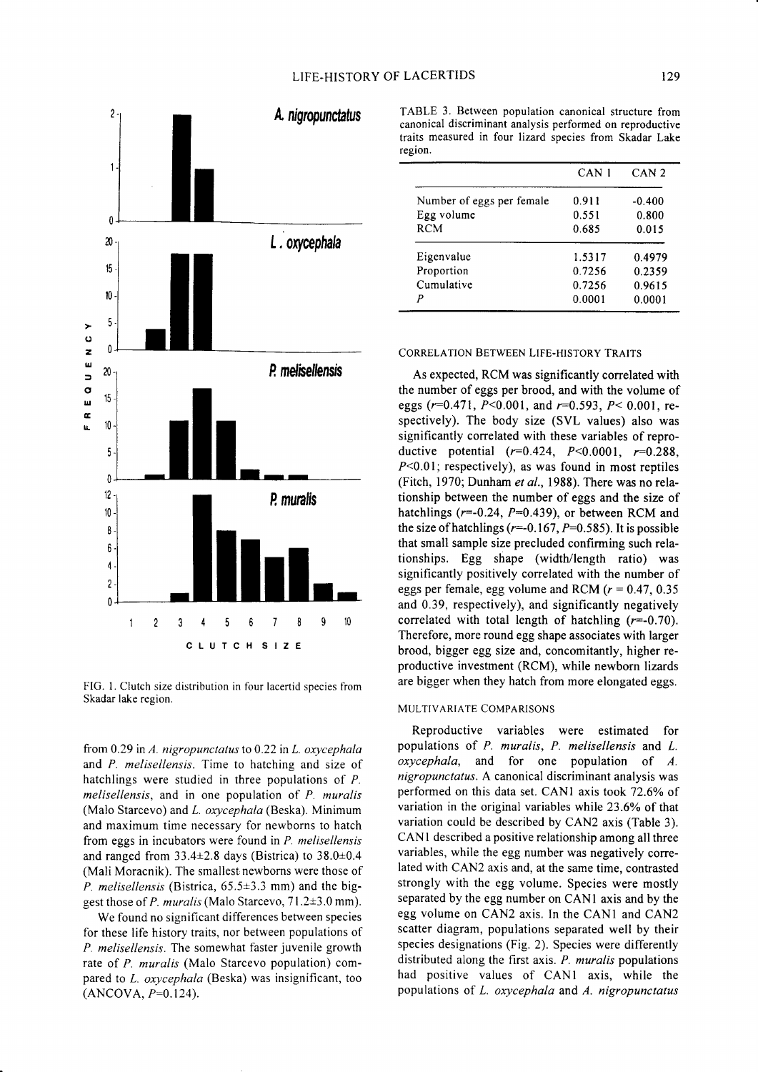

FIG. 1. Clutch size distribution in four lacertid species from Skadar lake region.

from 0.29 in  $A$ . nigropunctatus to 0.22 in  $L$ . oxycephala and P. melisellensis. Time to hatching and size of hatchlings were studied in three populations of P. melisellensis, and in one population of P. muralis (Malo Starcevo) and *L. oxycephala* (Beska). Minimum and maximum time necessary for newborns to hatch from eggs in incubators were found in  $P$ . melisellensis and ranged from  $33.4\pm2.8$  days (Bistrica) to  $38.0\pm0.4$ (Mali Moracnik). The smallest newborns were those of P. melisellensis (Bistrica,  $65.5\pm3.3$  mm) and the biggest those of P. muralis (Malo Starcevo, 7l.2+3.0 mm).

We found no significant differences between species for these life history traits, nor between populations of P. melisellensis. The somewhat faster juvenile growth rate of P. muralis (Malo Starcevo population) compared to L. oxycephala (Beska) was insignificant, too  $(ANCOVA, P=0.124).$ 

TABLE 3. Between population canonical structure from canonical discriminant analysis performed on reproductive traits measured in four lizard species from Skadar Lake region.

|                           | CAN 1  | CAN <sub>2</sub> |
|---------------------------|--------|------------------|
| Number of eggs per female | 0.911  | $-0.400$         |
| Egg volume                | 0.551  | 0.800            |
| <b>RCM</b>                | 0.685  | 0.015            |
| Eigenvalue                | 1.5317 | 0.4979           |
| Proportion                | 0.7256 | 0.2359           |
| Cumulative                | 0.7256 | 0.9615           |
| P                         | 0.0001 | 0.0001           |

### CORRELATION BETWEEN LIFE.HISTORY TRAITS

As expected, RCM was significantly correlated with the number of eggs per brood, and with the volume of eggs ( $r=0.471$ ,  $P<0.001$ , and  $r=0.593$ ,  $P<0.001$ , respectively). The body size (SVL values) also was significantly correlated with these variables of reproductive potential  $(r=0.424, P<0.0001, r=0.288,$  $P<0.01$ ; respectively), as was found in most reptiles (Fitch, 1970; Dunham et al., 1988). There was no relationship between the number of eggs and the size of hatchlings ( $r=-0.24$ ,  $P=0.439$ ), or between RCM and the size of hatchlings ( $r=-0.167$ ,  $P=0.585$ ). It is possible that small sample size precluded confirming such relationships. Egg shape (width/length ratio) was significantly positively correlated with the number of eggs per female, egg volume and RCM ( $r = 0.47, 0.35$ ) and 0.39, respectively), and significantly negatively correlated with total length of hatchling  $(r=-0.70)$ . Therefore, more round egg shape associates with larger brood, bigger egg size and, concomitantly, higher reproductive investment (RCM), while newborn lizards are bigger when they hatch from more elongated eggs.

### MULTIVARIATE COMPARISoNS

Reproductive variables were estimated for populations of P. muralis, P. melisellensis and L. oxycephala, and for one population of A. nigropunctatus. A canonical discriminant analysis was performed on this data set. CAN1 axis took 72.6% of variation in the original variables while 23.6% of that variation could be described by CAN2 axis (Table 3). CANI described a positive relationship among all three variables, while the egg number was negatively correlated with CAN2 axis and, at the same time, contrasted strongly with the egg volume. Species were mostly separated by the egg number on CAN1 axis and by the egg volume on CAN2 axis. In the CANI and CAN2 scatter diagram, populations separated well by their species designations (Fig. 2). Species were differently distributed along the first axis. P. muralis populations had positive values of CANI axis, while the populations of L. oxycephala and A. nigropunctatus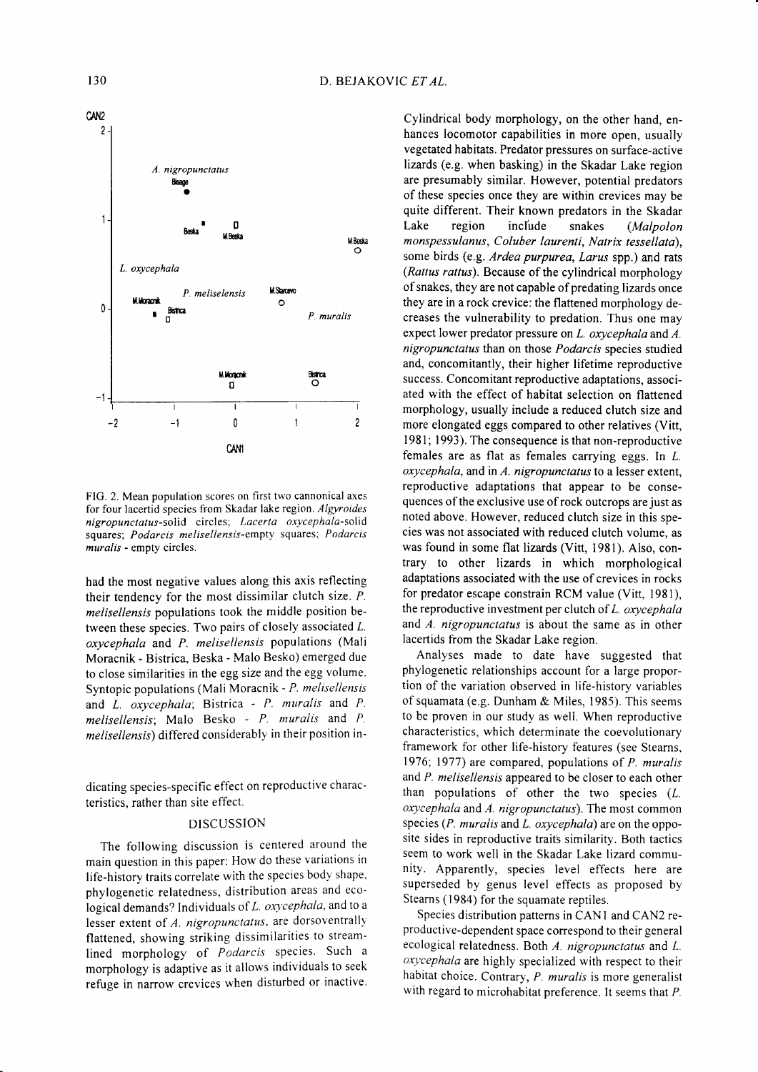

FIG. 2. Mean population scores on first two cannonical axes for four lacertid species from Skadar lake region. Algyroides nigropunctatus-solid circles; Lacerta oxycephala-solid squares; Podarcis melisellensis-empty squares; Podarcis muralis - empty circles.

had the most negative values along this axis reflecting their tendency for the most dissimilar clutch size. P. melisellensis populations took the middle position between these species. Two pairs of closely associated  $L$ . oxycephala and P. melisellensis populations (Mali Moracnik - Bistrica, Beska - Malo Besko) emerged due to close similarities in the egg size and the egg volume. Syntopic populations (Mali Moracnik - P. melisellensis and  $L$  *oxycephala*; Bistrica -  $P$ . *muralis* and  $P$ .  $melisellensis;$  Malo Besko -  $P$  muralis and  $P$ . melisellensis) differed considerably in their position in-

dicating species-specific effect on reproductive characteristics, rather than site effect.

### DISCUSSION

The following discussion is centered around the main question in this paper: How do these variations in life-history traits correlate with the species body shape. phylogenetic relatedness, distribution areas and ecological demands? Individuals of L. oxycephala, and to a lesser extent of  $A$ . nigropunctatus, are dorsoventrally flattened, showing striking dissimilarities to streamlined morphology of Podarcis species. Such a morphology is adaptive as it allows individuals to seek refuge in narrow crevices when disturbed or inactive.

Cylindrical body morphology, on the other hand, enhances locomotor capabilities in more open, usually vegetated habitats. Predator pressures on surface-active lizards (e.g. when basking) in the Skadar Lake region are presumably similar. However, potential predators of these species once they are within crevices may be quite different. Their known predators in the Skadar Lake region include snakes (Malpolon monspessulanus, Coluber laurenti, Natrix tessellata), some birds (e.g. Ardea purpurea, Larus spp.) and rats (Rattus rattus). Because of the cylindrical morphology of snakes, they are not capable of predating lizards once they are in a rock crevice: the flattened morphology decreases the vulnerability to predation. Thus one may expect lower predator pressure on L. oxycephala and A. nigropunctatus than on those Podarcis species studied and, concomitantly, their higher lifetime reproductive success. Concomitant reproductive adaptations, associated with the effect of habitat selection on flattened morphology, usually include a reduced clutch size and more elongated eggs compared to other relatives (Vitt, 1981; 1993). The consequence is that non-reproductive females are as flat as females carrying eggs. In Z.  $oxycephala$ , and in  $A.$  nigropunctatus to a lesser extent, reproductive adaptations that appear to be consequences of the exclusive use of rock outcrops are just as noted above. However, reduced clutch size in this species was not associated with reduced clutch volume, as was found in some flat lizards (Vitt, 1981). Also, contrary to other lizards in which morphological adaptations associated with the use of crevices in rocks for predator escape constrain RCM value (Vitt, 1981), the reproductive investment per clutch of  $L$ . oxycephala and  $A$ . nigropunctatus is about the same as in other lacertids from the Skadar Lake region.

Analyses made to date have suggested that phylogenetic relationships account for a large proportion of the variation observed in life-history variables of squamata (e.g. Dunham & Miles, 1985). This seems to be proven in our study as well. When reproductive characteristics, which determinate the coevolutionary framework for other life-history features (see Stearns, 1976; 1977) are compared, populations of  $P$ . muralis and P, melisellensis appeared to be closer to each other than populations of other the two species (L. oxycephala and A. nigropunctatus). The most common species ( $P.$  muralis and  $L.$  oxycephala) are on the opposite sides in reproductive traits similarity. Both tactics seem to work well in the Skadar Lake lizard community. Apparently, species level effects here are superseded by genus level effects as proposed by Stearns (1984) for the squamate reptiles.

Species distribution patterns in CAN1 and CAN2 reproductive-dependent space corespond to their general ecological relatedness. Both  $A$ . nigropunctatus and  $L$ .  $oxycephala$  are highly specialized with respect to their habitat choice. Contrary, P. muralis is more generalist with regard to microhabitat preference. It seems that P.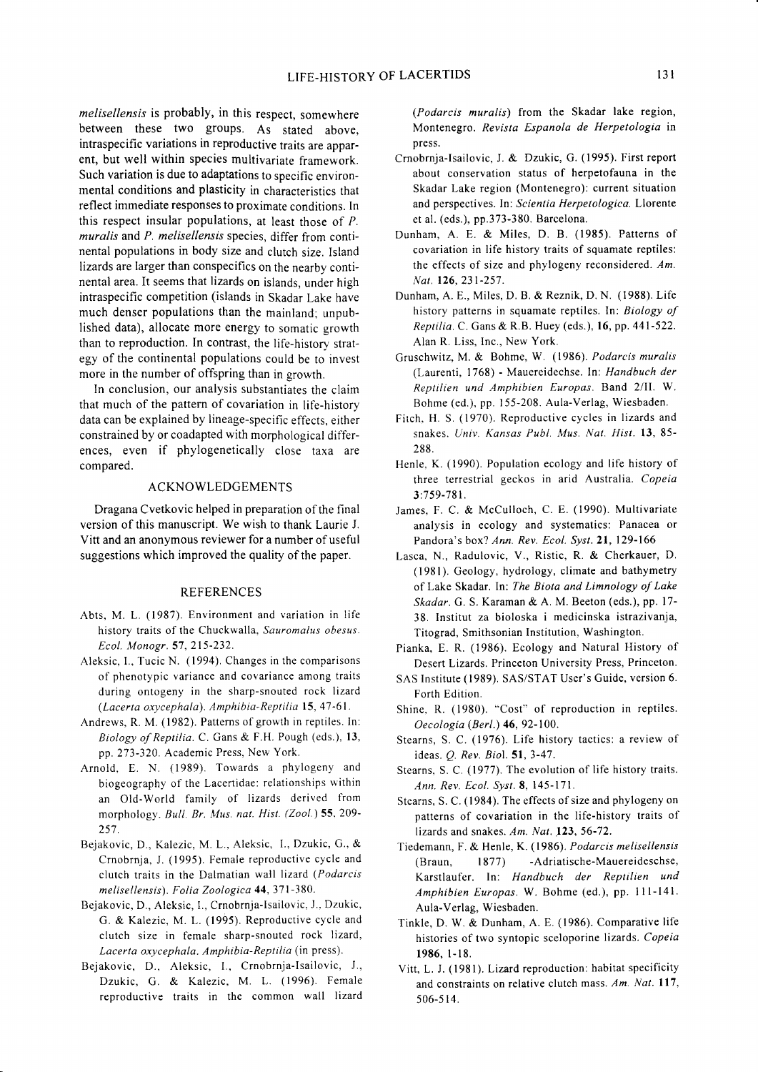melisellensis is probably, in this respect, somewhere between these two groups. As stated above, intraspecific variations in reproductive traits are apparent, but well within species multivariate framework. Such variation is due to adaptations to specific environmental conditions and plasticity in characteristics that reflect immediate responses to proximate conditions. In this respect insular populations, at least those of  $P$ . muralis and P. melisellensis species, differ from continental populations in body size and clutch size. Island lizards are larger than conspecifics on the nearby continental area. It seems that lizards on islands, under high intraspecific competition (islands in Skadar Lake have much denser populations than the mainland; unpublished data), allocate more energy to somatic growth than to reproduction. In contrast, the life-historv strategy of the continental populations could be to invest more in the number of offspring than in growth.

In conclusion, our analysis substantiates the claim that much of the pattern of covariation in life-history data can be explained by lineage-specific effects, either constrained by or coadapted with morphological differences, even if phylogenetically close taxa are compared.

## ACKNOWLEDGEMENTS

Dragana Cvetkovic helped in preparation of the final version of this manuscript. We wish to thank Laurie J. Vitt and an anonymous reviewer for a number of useful suggestions which improved the quality of the paper.

## REFERENCES

- Abts. M. L. (1987). Environment and variation in Iife history traits of the Chuckwalla, Sauromalus obesus. Ecol. Monogr. 57, 215-232.
- Aleksic, I., Tucic N. (1994). Changes in the comparisons of phenotypic variance and covariance among traits during ontogeny in the sharp-snouted rock lizard (Lacerta oxycephala). Amphibia-Reptilia 15, 47 -61.
- Andrews, R. M. (1982). Patterns of growth in reptiles. In: Biology of Reptilia. C. Gans & F.fL Pough (eds.), 13. pp.273-320. Academic Press, New York.
- Arnold, E. N. (1989). Towards a phylogeny and biogeography of the Lacertidae: relationships within an Old-World family of lizards derived from morphology. Bull. Br. Mus. nat. Hist. (Zool.) 55.209- 257.
- Bejakovic, D., Kalezic, M. L., Aleksic, L, Dzukic, G., & Crnobrnja, J. (1995). Female reproductive cycle and clutch traits in the Dalmatian wall lizard (Podarcis melisellensis). Folia Zoologica 44, 371-380.
- Bejakovic, D., Aleksic, I., Crnobrnja-lsailovic. J.. Dzukic, G. & Kalezic, M. L. (1995). Reproductive cycle and clutch size in female sharp-snouted rock lizard, Lacerta oxycephala. Amphibia-Reptilia (in press).
- Bejakovic, D., Aleksic, 1., Crnobrnja-lsailovic, J., Dzukic, G. & Kalezic, M. L. (1996). Female reproductive traits in the common wall lizard

(Podarcis muralis) from the Skadar lake region, Montenegro. Revista Espanola de Herpetologia in press.

- Crnobrnja-Isailovic, J. & Dzukic, G. (1995). First report about conservation status of herpetofauna in the Skadar Lake region (Montenegro): current situation and perspectives. In: Scientia Herpetologica. Llorente et al. (eds.), pp.373-380. Barcelona.
- Dunham, A. E. & Miles, D. B. (1985). Patterns of covariation in life history traits of squamate reptiles: the effects of size and phylogeny reconsidered.  $Am$ . Nat. 126,231-257.
- Dunham, A. E., Miles, D. B. & Reznik, D. N. (1988). Life history patterns in squamate reptiles. ln: Biology of Reptilia. C. Gans & R.B. Huey (eds.), 16, pp.44l-522. Alan R. Liss. Inc., New York.
- Gruschwitz, M. & Bohme, W. (1986). Podarcis muralis (Laurenti, 1768) - Mauereidechse. ln: Handbuch der Reptilien und Amphibien Europas. Band 2/II. W. Bohme (ed.), pp. 155-208. Aula-Verlag, Wiesbaden.
- Fitch. H. S. (1970). Reproductive cycles in lizards and snakes. Univ. Kansas Publ. Mus. Nat. Hist. 13, 85- 288.
- Henle, K. (1990). Population ecology and life history of three terrestrial geckos in arid Australia. Copeia 3:7 59-781 .
- James, F. C. & McCulloch, C. E. (1990). Multivariate analysis in ecology and systematics: Panacea or Pandora's box? Ann. Rev. Ecol. Syst.2l, 129-166
- Lasca, N., Radulovic, V., Ristic, R. & Cherkauer, D. (1981). Geology, hydrology, climate and bathymetry of Lake Skadar. In: The Biota and Limnology of Lake Skadar. G. S. Karaman & A. M. Beeton (eds.), pp. 17-38. Institut za bioloska i medicinska istrazivanja, Titograd, Smithsonian Institution, Washington.
- Pianka, E. R. (1986). Ecology and Natural History of Desert Lizards. Princeton University Press, Princeton.
- SAS Institute (1989). SAS/STAT User's Guide, version 6. Forth Edition.
- Shine, R. (1980). "Cost" of reproduction in reptiles. Oecologia (Berl.) 46, 92-100.
- Stearns, S. C. (1976). Life history tactics: a review of ideas.  $Q$ . Rev. Biol. 51, 3-47.
- Stearns, S. C. (1977). The evolution of life history traits. Ann. Rev. Ecol. Syst. 8, 145-171.
- Stearns, S. C. (1984). The effects of size and phylogeny on patterns of covariation in the life-history traits of lizards and snakes.  $Am. Nat.$  123, 56-72.
- Tiedemann, F. & Henle, K. (1986). Podarcis melisellensis (Braun, 1877) -Adriatische-Mauereideschse, Karstlaufer. In: Handbuch der Reptilien und Amphibien Europas. W. Bohme (ed.), pp. 111-141. Aula-Verlag, Wiesbaden.
- Tinkle, D. W. & Dunham, A. E. (1986). Comparative life histories of two syntopic sceloporine lizards. Copeia r986, l-18.
- Vitt, L. J. (1981). Lizard reproduction: habitat specificity and constraints on relative clutch mass. Am. Nat. 117, 506-5 14.